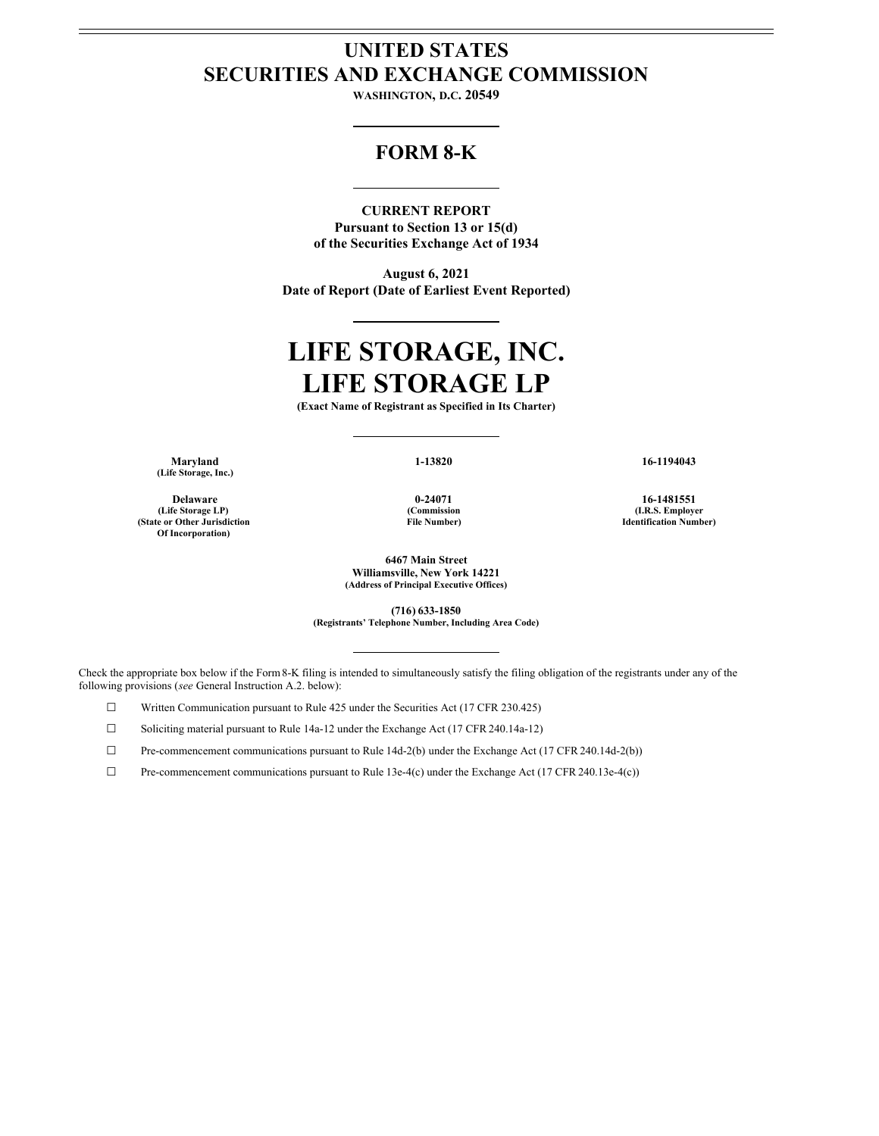# **UNITED STATES SECURITIES AND EXCHANGE COMMISSION**

**WASHINGTON, D.C. 20549**

# **FORM 8-K**

**CURRENT REPORT**

**Pursuant to Section 13 or 15(d) of the Securities Exchange Act of 1934**

**August 6, 2021 Date of Report (Date of Earliest Event Reported)**

# **LIFE STORAGE, INC. LIFE STORAGE LP**

**(Exact Name of Registrant as Specified in Its Charter)**

**Maryland 1-13820 16-1194043 (Life Storage, Inc.)**

**(Life Storage LP) (State or Other Jurisdiction Of Incorporation)**

**(Commission File Number)**

**Delaware 0-24071 16-1481551 (I.R.S. Employer Identification Number)**

> **6467 Main Street Williamsville, New York 14221 (Address of Principal Executive Offices)**

> > **(716) 633-1850**

**(Registrants' Telephone Number, Including Area Code)**

Check the appropriate box below if the Form8-K filing is intended to simultaneously satisfy the filing obligation of the registrants under any of the following provisions (*see* General Instruction A.2. below):

☐ Written Communication pursuant to Rule 425 under the Securities Act (17 CFR 230.425)

☐ Soliciting material pursuant to Rule 14a-12 under the Exchange Act (17 CFR 240.14a-12)

☐ Pre-commencement communications pursuant to Rule 14d-2(b) under the Exchange Act (17 CFR 240.14d-2(b))

☐ Pre-commencement communications pursuant to Rule 13e-4(c) under the Exchange Act (17 CFR 240.13e-4(c))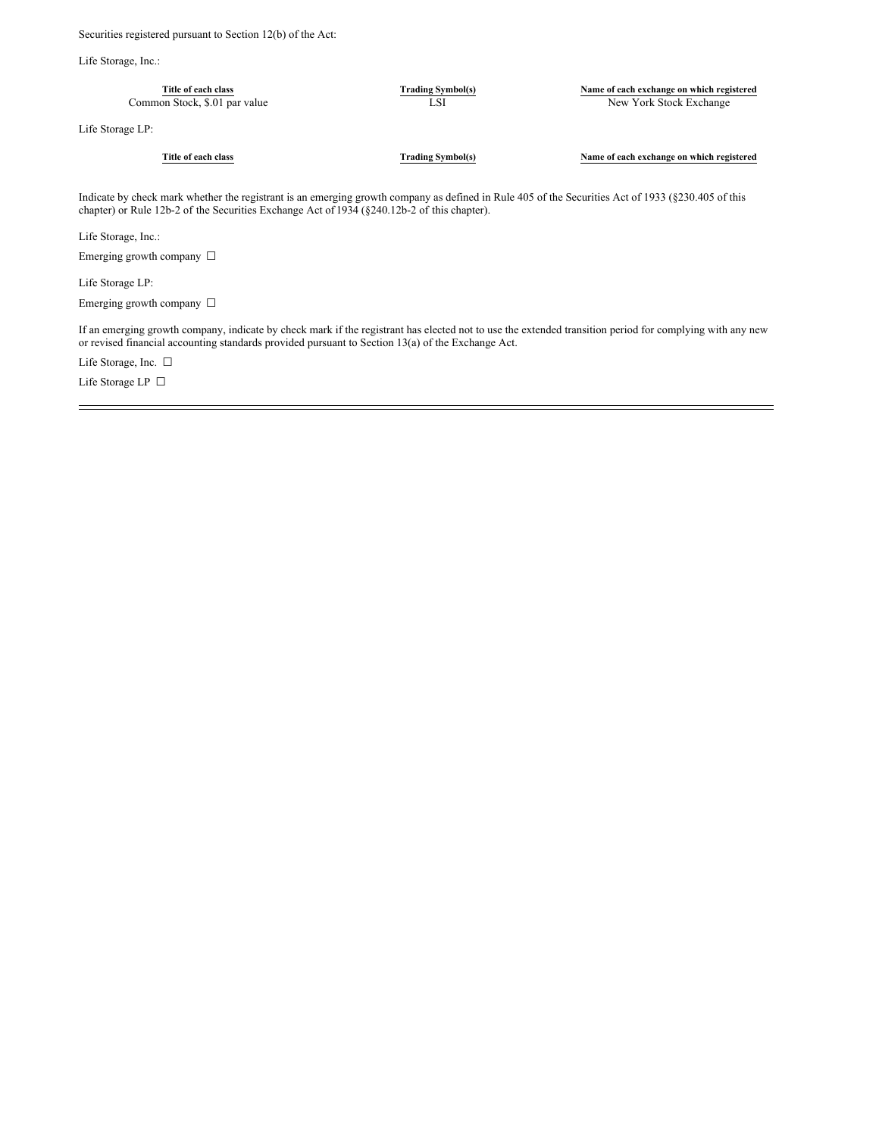Securities registered pursuant to Section 12(b) of the Act:

Life Storage, Inc.:

| Title of each class<br>Common Stock, \$.01 par value | <b>Trading Symbol(s)</b><br>LSI | Name of each exchange on which registered<br>New York Stock Exchange |
|------------------------------------------------------|---------------------------------|----------------------------------------------------------------------|
| Life Storage LP:                                     |                                 |                                                                      |
| Title of each class                                  | <b>Trading Symbol(s)</b>        | Name of each exchange on which registered                            |

Indicate by check mark whether the registrant is an emerging growth company as defined in Rule 405 of the Securities Act of 1933 (§230.405 of this chapter) or Rule 12b-2 of the Securities Exchange Act of 1934 (§240.12b-2 of this chapter).

Life Storage, Inc.:

Emerging growth company  $\ \Box$ 

Life Storage LP:

Emerging growth company □

If an emerging growth company, indicate by check mark if the registrant has elected not to use the extended transition period for complying with any new or revised financial accounting standards provided pursuant to Section 13(a) of the Exchange Act.

Life Storage, Inc. □

Life Storage LP  $\,\Box$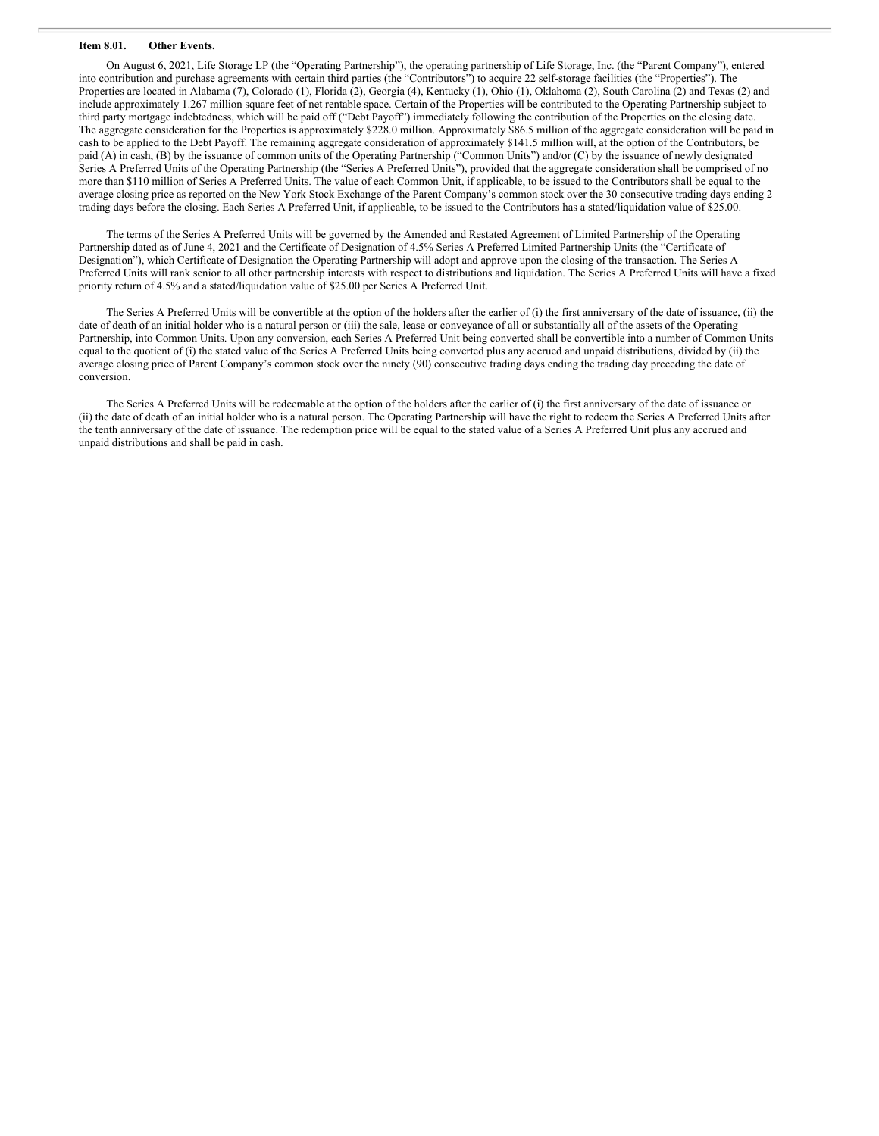#### **Item 8.01. Other Events.**

On August 6, 2021, Life Storage LP (the "Operating Partnership"), the operating partnership of Life Storage, Inc. (the "Parent Company"), entered into contribution and purchase agreements with certain third parties (the "Contributors") to acquire 22 self-storage facilities (the "Properties"). The Properties are located in Alabama (7), Colorado (1), Florida (2), Georgia (4), Kentucky (1), Ohio (1), Oklahoma (2), South Carolina (2) and Texas (2) and include approximately 1.267 million square feet of net rentable space. Certain of the Properties will be contributed to the Operating Partnership subject to third party mortgage indebtedness, which will be paid off ("Debt Payoff") immediately following the contribution of the Properties on the closing date. The aggregate consideration for the Properties is approximately \$228.0 million. Approximately \$86.5 million of the aggregate consideration will be paid in cash to be applied to the Debt Payoff. The remaining aggregate consideration of approximately \$141.5 million will, at the option of the Contributors, be paid (A) in cash, (B) by the issuance of common units of the Operating Partnership ("Common Units") and/or (C) by the issuance of newly designated Series A Preferred Units of the Operating Partnership (the "Series A Preferred Units"), provided that the aggregate consideration shall be comprised of no more than \$110 million of Series A Preferred Units. The value of each Common Unit, if applicable, to be issued to the Contributors shall be equal to the average closing price as reported on the New York Stock Exchange of the Parent Company's common stock over the 30 consecutive trading days ending 2 trading days before the closing. Each Series A Preferred Unit, if applicable, to be issued to the Contributors has a stated/liquidation value of \$25.00.

The terms of the Series A Preferred Units will be governed by the Amended and Restated Agreement of Limited Partnership of the Operating Partnership dated as of June 4, 2021 and the Certificate of Designation of 4.5% Series A Preferred Limited Partnership Units (the "Certificate of Designation"), which Certificate of Designation the Operating Partnership will adopt and approve upon the closing of the transaction. The Series A Preferred Units will rank senior to all other partnership interests with respect to distributions and liquidation. The Series A Preferred Units will have a fixed priority return of 4.5% and a stated/liquidation value of \$25.00 per Series A Preferred Unit.

The Series A Preferred Units will be convertible at the option of the holders after the earlier of (i) the first anniversary of the date of issuance, (ii) the date of death of an initial holder who is a natural person or (iii) the sale, lease or conveyance of all or substantially all of the assets of the Operating Partnership, into Common Units. Upon any conversion, each Series A Preferred Unit being converted shall be convertible into a number of Common Units equal to the quotient of (i) the stated value of the Series A Preferred Units being converted plus any accrued and unpaid distributions, divided by (ii) the average closing price of Parent Company's common stock over the ninety (90) consecutive trading days ending the trading day preceding the date of conversion.

The Series A Preferred Units will be redeemable at the option of the holders after the earlier of (i) the first anniversary of the date of issuance or (ii) the date of death of an initial holder who is a natural person. The Operating Partnership will have the right to redeem the Series A Preferred Units after the tenth anniversary of the date of issuance. The redemption price will be equal to the stated value of a Series A Preferred Unit plus any accrued and unpaid distributions and shall be paid in cash.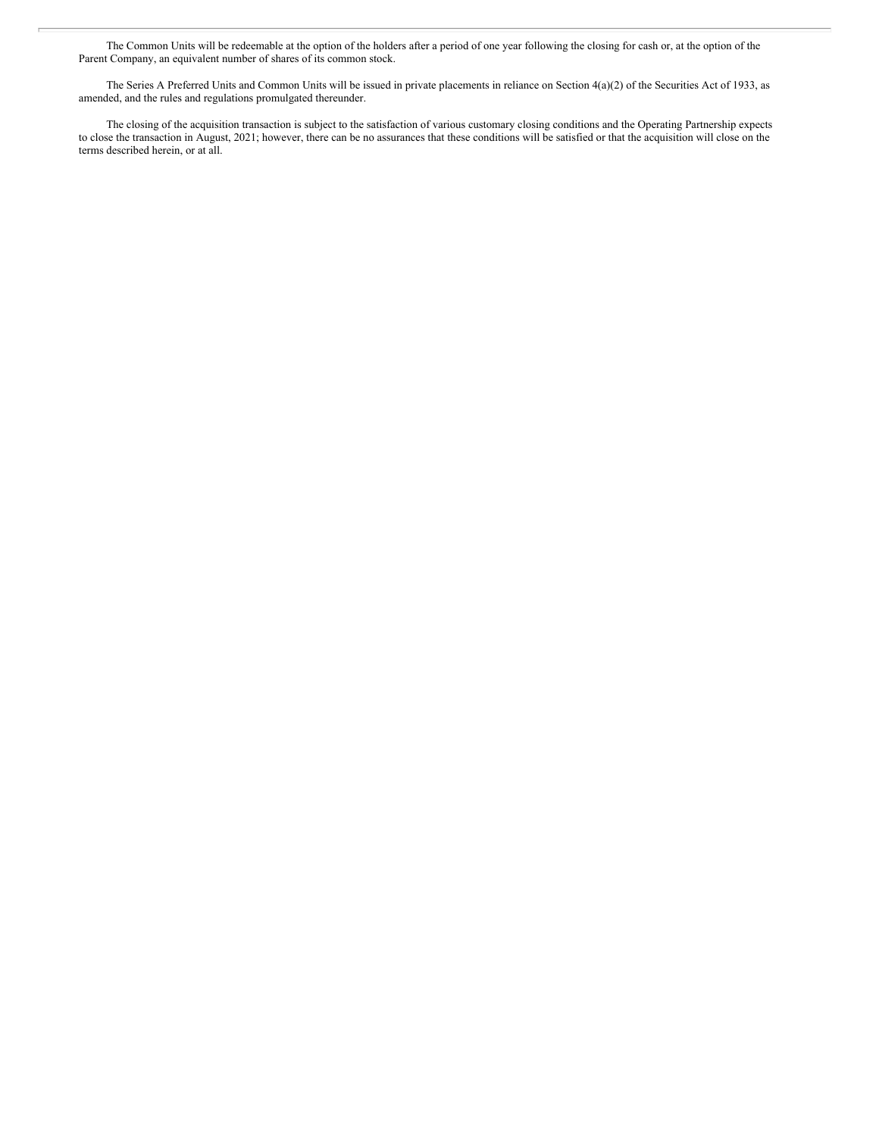The Common Units will be redeemable at the option of the holders after a period of one year following the closing for cash or, at the option of the Parent Company, an equivalent number of shares of its common stock.

The Series A Preferred Units and Common Units will be issued in private placements in reliance on Section 4(a)(2) of the Securities Act of 1933, as amended, and the rules and regulations promulgated thereunder.

The closing of the acquisition transaction is subject to the satisfaction of various customary closing conditions and the Operating Partnership expects to close the transaction in August, 2021; however, there can be no assurances that these conditions will be satisfied or that the acquisition will close on the terms described herein, or at all.